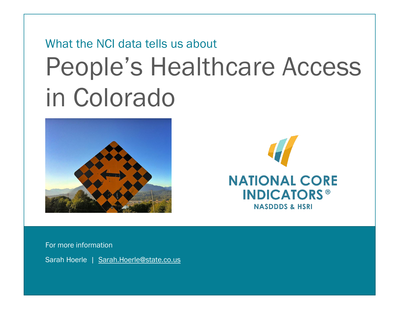# What the NCI data tells us about People's Healthcare Access in Colorado





For more information

Sarah Hoerle | [Sarah.Hoerle@state.co.us](mailto:Sarah.Hoerle@state.co.us)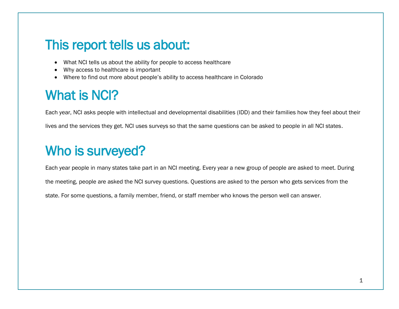## This report tells us about:

- What NCI tells us about the ability for people to access healthcare
- Why access to healthcare is important
- Where to find out more about people's ability to access healthcare in Colorado

# What is NCI?

Each year, NCI asks people with intellectual and developmental disabilities (IDD) and their families how they feel about their lives and the services they get. NCI uses surveys so that the same questions can be asked to people in all NCI states.

# Who is surveyed?

Each year people in many states take part in an NCI meeting. Every year a new group of people are asked to meet. During the meeting, people are asked the NCI survey questions. Questions are asked to the person who gets services from the state. For some questions, a family member, friend, or staff member who knows the person well can answer.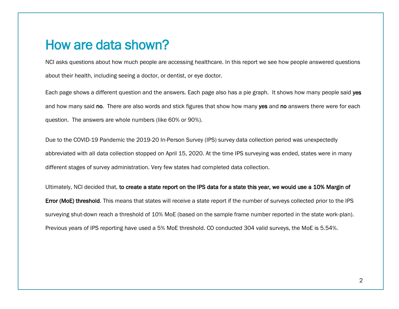#### How are data shown?

NCI asks questions about how much people are accessing healthcare. In this report we see how people answered questions about their health, including seeing a doctor, or dentist, or eye doctor.

Each page shows a different question and the answers. Each page also has a pie graph. It shows how many people said yes and how many said no. There are also words and stick figures that show how many yes and no answers there were for each question. The answers are whole numbers (like 60% or 90%).

Due to the COVID-19 Pandemic the 2019-20 In-Person Survey (IPS) survey data collection period was unexpectedly abbreviated with all data collection stopped on April 15, 2020. At the time IPS surveying was ended, states were in many different stages of survey administration. Very few states had completed data collection.

Ultimately, NCI decided that, to create a state report on the IPS data for a state this year, we would use a 10% Margin of Error (MoE) threshold. This means that states will receive a state report if the number of surveys collected prior to the IPS surveying shut-down reach a threshold of 10% MoE (based on the sample frame number reported in the state work-plan). Previous years of IPS reporting have used a 5% MoE threshold. CO conducted 304 valid surveys, the MoE is 5.54%.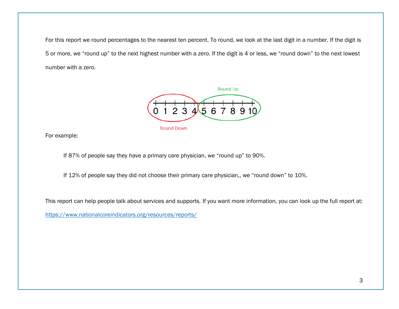For this report we round percentages to the nearest ten percent. To round, we look at the last digit in a number. If the digit is 5 or more, we "round up" to the next highest number with a zero. If the digit is 4 or less, we "round down" to the next lowest number with a zero.



For example:

If 87% of people say they have a primary care physician, we "round up" to 90%.

If 12% of people say they did not choose their primary care physician,, we "round down" to 10%.

This report can help people talk about services and supports. If you want more information, you can look up the full report at:

https://www.nationalcoreindicators.org/resources/reports/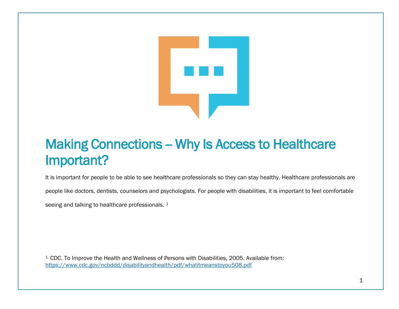

# Making Connections - Why Is Access to Healthcare Important?

It is important for people to be able to see healthcare professionals so they can stay healthy. Healthcare professionals are

people like doctors, dentists, counselors and psychologists. For people with disabilities, it is important to feel comfortable

seeing and talking to healthcare professionals.  $^1$ 

<sup>1</sup>. CDC. To Improve the Health and Wellness of Persons with Disabilities, 2005. Available from: <https://www.cdc.gov/ncbddd/disabilityandhealth/pdf/whatitmeanstoyou508.pdf>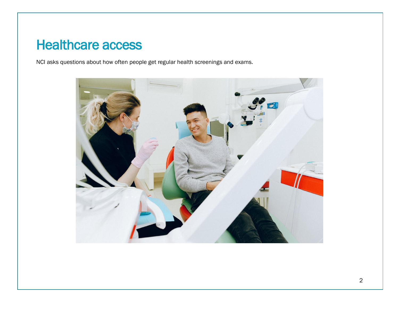## Healthcare access

NCI asks questions about how often people get regular health screenings and exams.

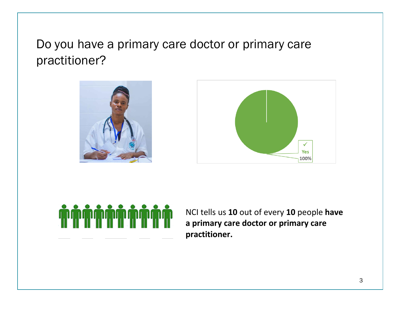Do you have a primary care doctor or primary care practitioner?







NCI tells us **10** out of every **10** people **have a primary care doctor or primary care practitioner.**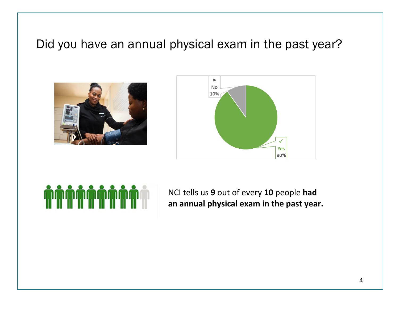#### Did you have an annual physical exam in the past year?







NCI tells us **9** out of every **10** people **had an annual physical exam in the past year.**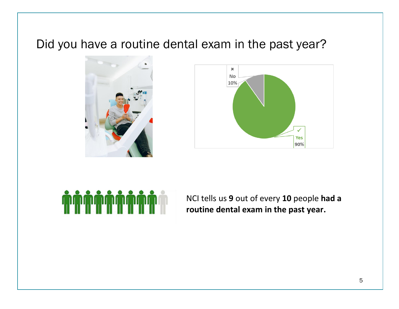#### Did you have a routine dental exam in the past year?







NCI tells us **9** out of every **10** people **had a routine dental exam in the past year.**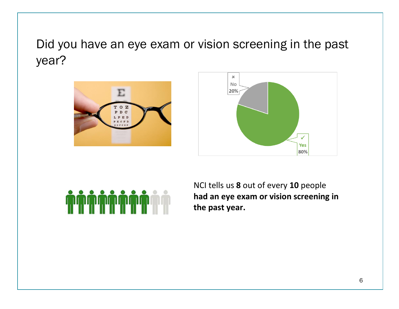# Did you have an eye exam or vision screening in the past year?







NCI tells us **8** out of every **10** people **had an eye exam or vision screening in the past year.**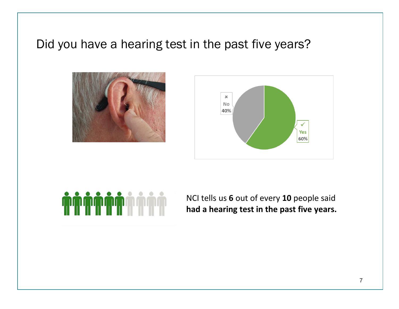#### Did you have a hearing test in the past five years?







NCI tells us **6** out of every **10** people said **had a hearing test in the past five years.**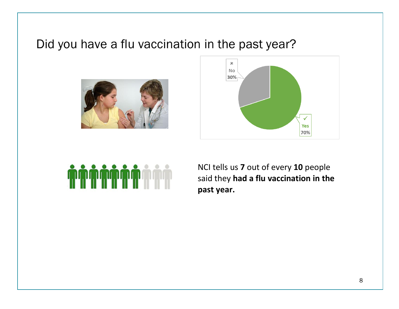#### Did you have a flu vaccination in the past year?







NCI tells us **7** out of every **10** people said they **had a flu vaccination in the past year.**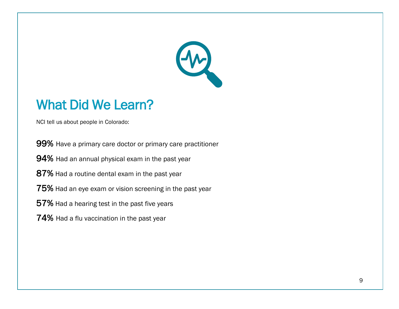

### What Did We Learn?

NCI tell us about people in Colorado:

99% Have a primary care doctor or primary care practitioner

94% Had an annual physical exam in the past year

87% Had a routine dental exam in the past year

75% Had an eye exam or vision screening in the past year

57% Had a hearing test in the past five years

74% Had a flu vaccination in the past year